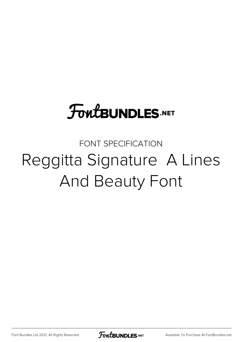## **FoutBUNDLES.NET**

## FONT SPECIFICATION Reggitta Signature A Lines And Beauty Font

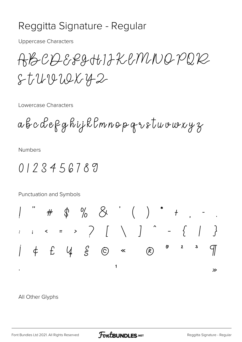## Reggitta Signature - Regular

**Uppercase Characters** 

ABCOSSZAHIJKEMNOPQR  $8t$ UVUUX42

Lowercase Characters

abcdeRghijkBmnopqvstuvwxyz

**Numbers** 

0123456789

Punctuation and Symbols



All Other Glyphs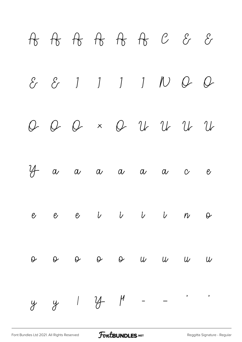